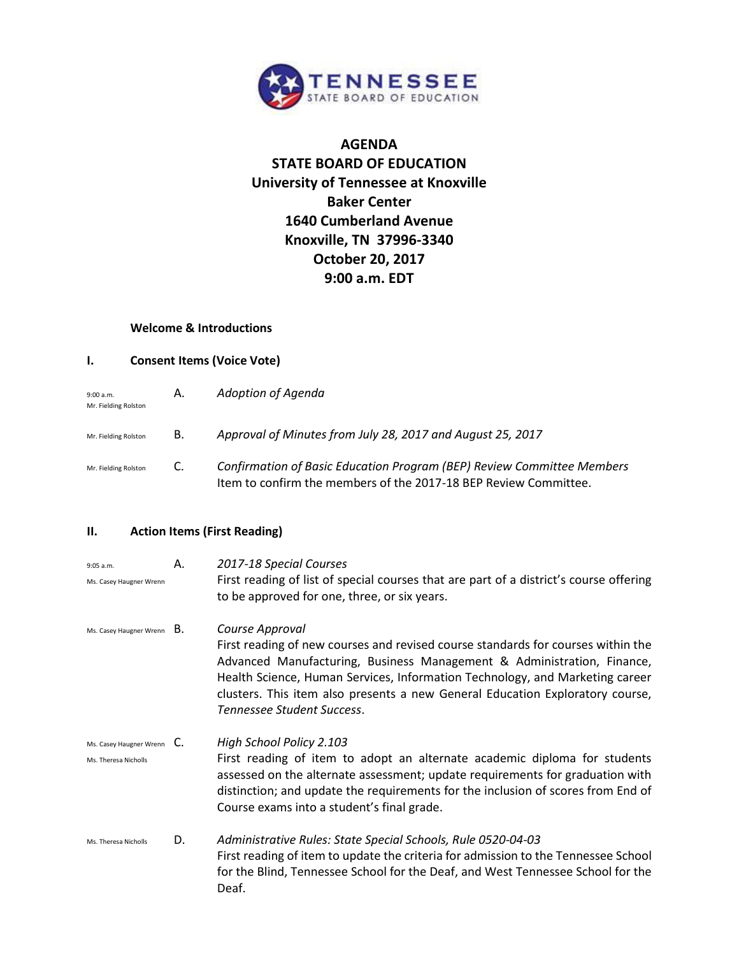

# **AGENDA STATE BOARD OF EDUCATION University of Tennessee at Knoxville Baker Center 1640 Cumberland Avenue Knoxville, TN 37996-3340 October 20, 2017 9:00 a.m. EDT**

### **Welcome & Introductions**

#### **I. Consent Items (Voice Vote)**

| 9:00 a.m.<br>Mr. Fielding Rolston | А. | Adoption of Agenda                                                                                                                         |
|-----------------------------------|----|--------------------------------------------------------------------------------------------------------------------------------------------|
| Mr. Fielding Rolston              | В. | Approval of Minutes from July 28, 2017 and August 25, 2017                                                                                 |
| Mr. Fielding Rolston              | C. | Confirmation of Basic Education Program (BEP) Review Committee Members<br>Item to confirm the members of the 2017-18 BEP Review Committee. |

### **II. Action Items (First Reading)**

| 9:05 a.m.<br>Ms. Casey Haugner Wrenn                          | А. | 2017-18 Special Courses<br>First reading of list of special courses that are part of a district's course offering<br>to be approved for one, three, or six years.                                                                                                                                                                                                            |
|---------------------------------------------------------------|----|------------------------------------------------------------------------------------------------------------------------------------------------------------------------------------------------------------------------------------------------------------------------------------------------------------------------------------------------------------------------------|
| Ms. Casey Haugner Wrenn $B.$                                  |    | Course Approval<br>First reading of new courses and revised course standards for courses within the<br>Advanced Manufacturing, Business Management & Administration, Finance,<br>Health Science, Human Services, Information Technology, and Marketing career<br>clusters. This item also presents a new General Education Exploratory course,<br>Tennessee Student Success. |
| Ms. Casey Haugner Wrenn $\mathsf{C}.$<br>Ms. Theresa Nicholls |    | High School Policy 2.103<br>First reading of item to adopt an alternate academic diploma for students<br>assessed on the alternate assessment; update requirements for graduation with<br>distinction; and update the requirements for the inclusion of scores from End of<br>Course exams into a student's final grade.                                                     |
| Ms. Theresa Nicholls                                          | D. | Administrative Rules: State Special Schools, Rule 0520-04-03<br>First reading of item to update the criteria for admission to the Tennessee School<br>for the Blind, Tennessee School for the Deaf, and West Tennessee School for the<br>Deaf.                                                                                                                               |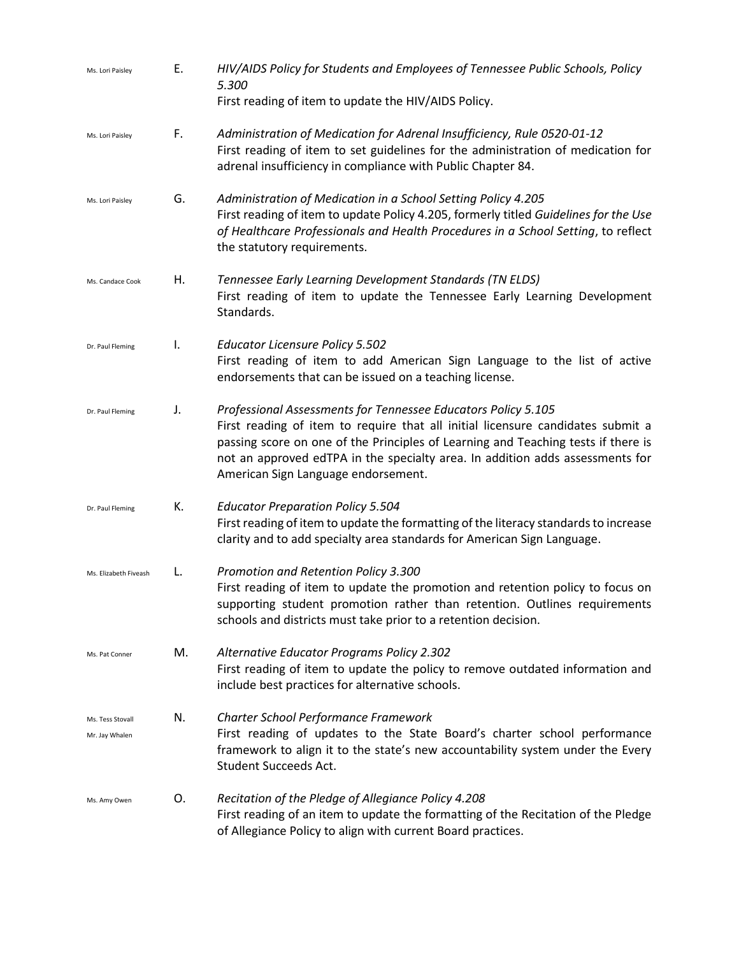| Ms. Lori Paisley                   | Е. | HIV/AIDS Policy for Students and Employees of Tennessee Public Schools, Policy<br>5.300<br>First reading of item to update the HIV/AIDS Policy.                                                                                                                                                                                                               |
|------------------------------------|----|---------------------------------------------------------------------------------------------------------------------------------------------------------------------------------------------------------------------------------------------------------------------------------------------------------------------------------------------------------------|
| Ms. Lori Paisley                   | F. | Administration of Medication for Adrenal Insufficiency, Rule 0520-01-12<br>First reading of item to set guidelines for the administration of medication for<br>adrenal insufficiency in compliance with Public Chapter 84.                                                                                                                                    |
| Ms. Lori Paisley                   | G. | Administration of Medication in a School Setting Policy 4.205<br>First reading of item to update Policy 4.205, formerly titled Guidelines for the Use<br>of Healthcare Professionals and Health Procedures in a School Setting, to reflect<br>the statutory requirements.                                                                                     |
| Ms. Candace Cook                   | Н. | Tennessee Early Learning Development Standards (TN ELDS)<br>First reading of item to update the Tennessee Early Learning Development<br>Standards.                                                                                                                                                                                                            |
| Dr. Paul Fleming                   | I. | <b>Educator Licensure Policy 5.502</b><br>First reading of item to add American Sign Language to the list of active<br>endorsements that can be issued on a teaching license.                                                                                                                                                                                 |
| Dr. Paul Fleming                   | J. | Professional Assessments for Tennessee Educators Policy 5.105<br>First reading of item to require that all initial licensure candidates submit a<br>passing score on one of the Principles of Learning and Teaching tests if there is<br>not an approved edTPA in the specialty area. In addition adds assessments for<br>American Sign Language endorsement. |
| Dr. Paul Fleming                   | К. | <b>Educator Preparation Policy 5.504</b><br>First reading of item to update the formatting of the literacy standards to increase<br>clarity and to add specialty area standards for American Sign Language.                                                                                                                                                   |
| Ms. Elizabeth Fiveash              | L. | Promotion and Retention Policy 3.300<br>First reading of item to update the promotion and retention policy to focus on<br>supporting student promotion rather than retention. Outlines requirements<br>schools and districts must take prior to a retention decision.                                                                                         |
| Ms. Pat Conner                     | M. | Alternative Educator Programs Policy 2.302<br>First reading of item to update the policy to remove outdated information and<br>include best practices for alternative schools.                                                                                                                                                                                |
| Ms. Tess Stovall<br>Mr. Jay Whalen | N. | <b>Charter School Performance Framework</b><br>First reading of updates to the State Board's charter school performance<br>framework to align it to the state's new accountability system under the Every<br><b>Student Succeeds Act.</b>                                                                                                                     |
| Ms. Amy Owen                       | Ο. | Recitation of the Pledge of Allegiance Policy 4.208<br>First reading of an item to update the formatting of the Recitation of the Pledge<br>of Allegiance Policy to align with current Board practices.                                                                                                                                                       |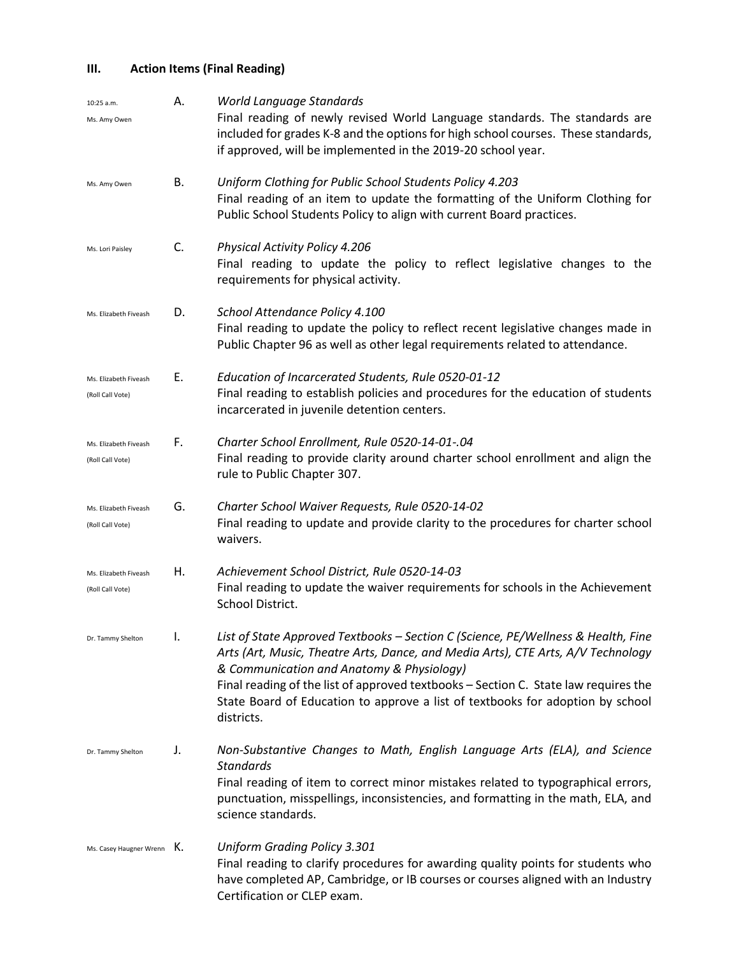# **III. Action Items (Final Reading)**

| 10:25 a.m.<br>Ms. Amy Owen                | А. | World Language Standards<br>Final reading of newly revised World Language standards. The standards are<br>included for grades K-8 and the options for high school courses. These standards,<br>if approved, will be implemented in the 2019-20 school year.                                                                                                                                               |
|-------------------------------------------|----|-----------------------------------------------------------------------------------------------------------------------------------------------------------------------------------------------------------------------------------------------------------------------------------------------------------------------------------------------------------------------------------------------------------|
| Ms. Amy Owen                              | В. | Uniform Clothing for Public School Students Policy 4.203<br>Final reading of an item to update the formatting of the Uniform Clothing for<br>Public School Students Policy to align with current Board practices.                                                                                                                                                                                         |
| Ms. Lori Paisley                          | C. | Physical Activity Policy 4.206<br>Final reading to update the policy to reflect legislative changes to the<br>requirements for physical activity.                                                                                                                                                                                                                                                         |
| Ms. Elizabeth Fiveash                     | D. | School Attendance Policy 4.100<br>Final reading to update the policy to reflect recent legislative changes made in<br>Public Chapter 96 as well as other legal requirements related to attendance.                                                                                                                                                                                                        |
| Ms. Elizabeth Fiveash<br>(Roll Call Vote) | Е. | Education of Incarcerated Students, Rule 0520-01-12<br>Final reading to establish policies and procedures for the education of students<br>incarcerated in juvenile detention centers.                                                                                                                                                                                                                    |
| Ms. Elizabeth Fiveash<br>(Roll Call Vote) | F. | Charter School Enrollment, Rule 0520-14-01-.04<br>Final reading to provide clarity around charter school enrollment and align the<br>rule to Public Chapter 307.                                                                                                                                                                                                                                          |
| Ms. Elizabeth Fiveash<br>(Roll Call Vote) | G. | Charter School Waiver Requests, Rule 0520-14-02<br>Final reading to update and provide clarity to the procedures for charter school<br>waivers.                                                                                                                                                                                                                                                           |
| Ms. Elizabeth Fiveash<br>(Roll Call Vote) | Η. | Achievement School District, Rule 0520-14-03<br>Final reading to update the waiver requirements for schools in the Achievement<br>School District.                                                                                                                                                                                                                                                        |
| Dr. Tammy Shelton                         | I. | List of State Approved Textbooks - Section C (Science, PE/Wellness & Health, Fine<br>Arts (Art, Music, Theatre Arts, Dance, and Media Arts), CTE Arts, A/V Technology<br>& Communication and Anatomy & Physiology)<br>Final reading of the list of approved textbooks - Section C. State law requires the<br>State Board of Education to approve a list of textbooks for adoption by school<br>districts. |
| Dr. Tammy Shelton                         | J. | Non-Substantive Changes to Math, English Language Arts (ELA), and Science<br><b>Standards</b><br>Final reading of item to correct minor mistakes related to typographical errors,<br>punctuation, misspellings, inconsistencies, and formatting in the math, ELA, and<br>science standards.                                                                                                               |
| Ms. Casey Haugner Wrenn K.                |    | <b>Uniform Grading Policy 3.301</b><br>Final reading to clarify procedures for awarding quality points for students who<br>have completed AP, Cambridge, or IB courses or courses aligned with an Industry<br>Certification or CLEP exam.                                                                                                                                                                 |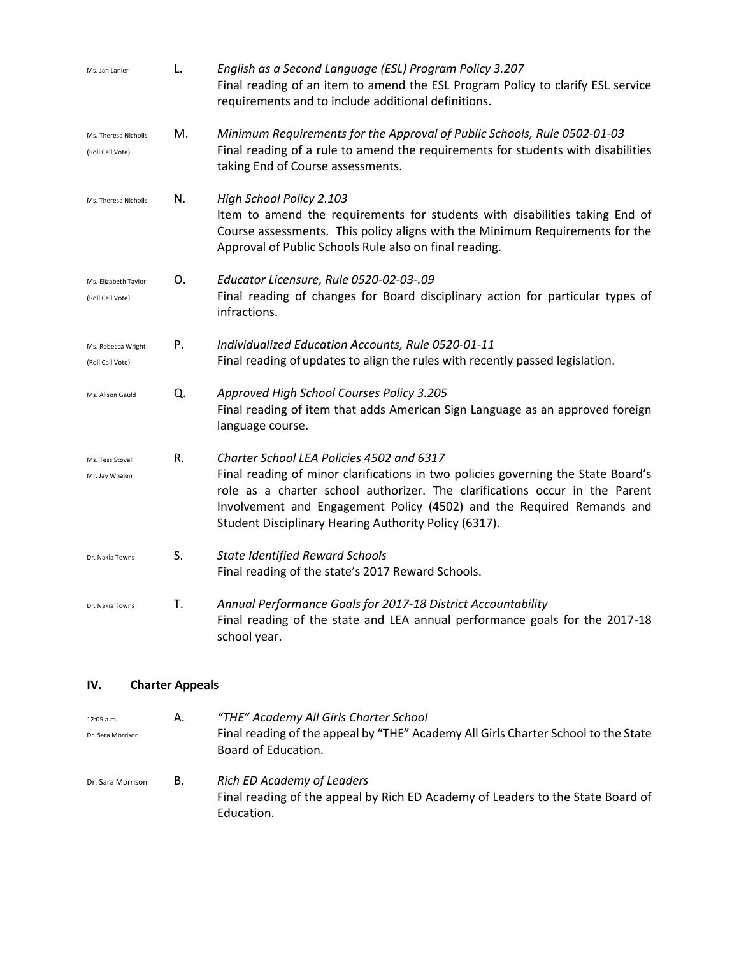| Ms. Jan Lanier                           | L. | English as a Second Language (ESL) Program Policy 3.207<br>Final reading of an item to amend the ESL Program Policy to clarify ESL service<br>requirements and to include additional definitions.                                                                                                                                               |
|------------------------------------------|----|-------------------------------------------------------------------------------------------------------------------------------------------------------------------------------------------------------------------------------------------------------------------------------------------------------------------------------------------------|
| Ms. Theresa Nicholls<br>(Roll Call Vote) | M. | Minimum Requirements for the Approval of Public Schools, Rule 0502-01-03<br>Final reading of a rule to amend the requirements for students with disabilities<br>taking End of Course assessments.                                                                                                                                               |
| Ms. Theresa Nicholls                     | N. | High School Policy 2.103<br>Item to amend the requirements for students with disabilities taking End of<br>Course assessments. This policy aligns with the Minimum Requirements for the<br>Approval of Public Schools Rule also on final reading.                                                                                               |
| Ms. Elizabeth Taylor<br>(Roll Call Vote) | О. | Educator Licensure, Rule 0520-02-03-.09<br>Final reading of changes for Board disciplinary action for particular types of<br>infractions.                                                                                                                                                                                                       |
| Ms. Rebecca Wright<br>(Roll Call Vote)   | Ρ. | Individualized Education Accounts, Rule 0520-01-11<br>Final reading of updates to align the rules with recently passed legislation.                                                                                                                                                                                                             |
| Ms. Alison Gauld                         | Q. | Approved High School Courses Policy 3.205<br>Final reading of item that adds American Sign Language as an approved foreign<br>language course.                                                                                                                                                                                                  |
| Ms. Tess Stovall<br>Mr. Jay Whalen       | R. | Charter School LEA Policies 4502 and 6317<br>Final reading of minor clarifications in two policies governing the State Board's<br>role as a charter school authorizer. The clarifications occur in the Parent<br>Involvement and Engagement Policy (4502) and the Required Remands and<br>Student Disciplinary Hearing Authority Policy (6317). |
| Dr. Nakia Towns                          | S. | <b>State Identified Reward Schools</b><br>Final reading of the state's 2017 Reward Schools.                                                                                                                                                                                                                                                     |
| Dr. Nakia Towns                          | T. | Annual Performance Goals for 2017-18 District Accountability<br>Final reading of the state and LEA annual performance goals for the 2017-18<br>school year.                                                                                                                                                                                     |

## **IV. Charter Appeals**

| 12:05 a.m.<br>Dr. Sara Morrison | А. | "THE" Academy All Girls Charter School<br>Final reading of the appeal by "THE" Academy All Girls Charter School to the State<br>Board of Education. |
|---------------------------------|----|-----------------------------------------------------------------------------------------------------------------------------------------------------|
| Dr. Sara Morrison               | В. | <b>Rich ED Academy of Leaders</b><br>Final reading of the appeal by Rich ED Academy of Leaders to the State Board of<br>Education.                  |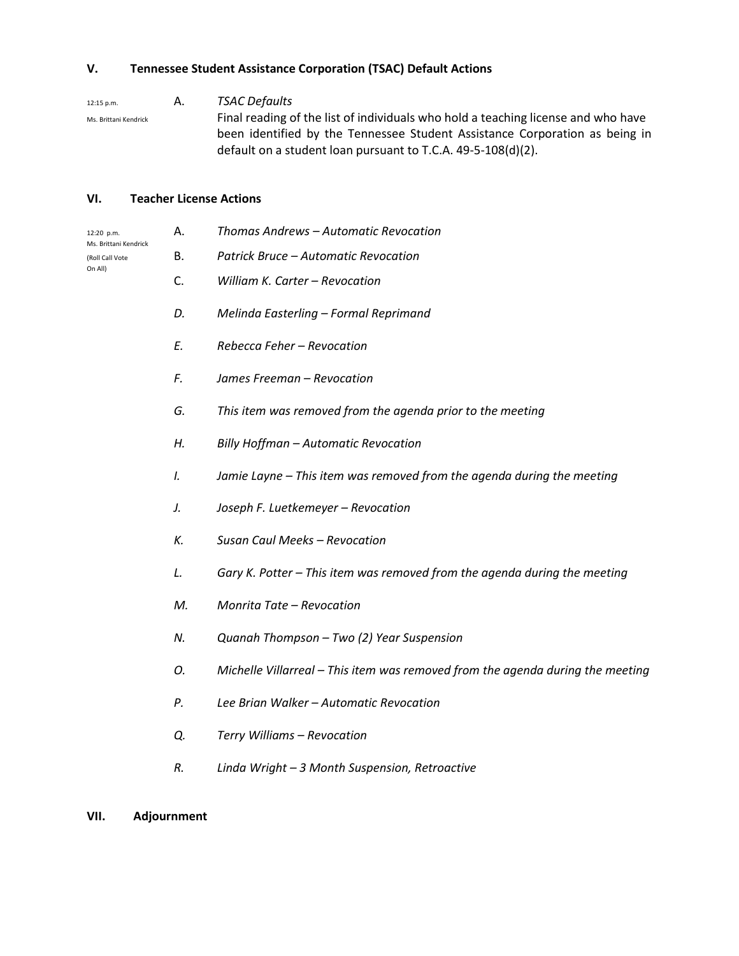## **V. Tennessee Student Assistance Corporation (TSAC) Default Actions**

12:15 p.m. A. *TSAC Defaults*

Ms. Brittani Kendrick **Final reading of the list of individuals who hold a teaching license and who have** been identified by the Tennessee Student Assistance Corporation as being in default on a student loan pursuant to T.C.A. 49-5-108(d)(2).

### **VI. Teacher License Actions**

| 12:20 p.m.<br>Ms. Brittani Kendrick<br>(Roll Call Vote<br>On All) | Α. | Thomas Andrews - Automatic Revocation                                          |
|-------------------------------------------------------------------|----|--------------------------------------------------------------------------------|
|                                                                   | В. | Patrick Bruce - Automatic Revocation                                           |
|                                                                   | C. | William K. Carter - Revocation                                                 |
|                                                                   | D. | Melinda Easterling - Formal Reprimand                                          |
|                                                                   | E. | Rebecca Feher - Revocation                                                     |
|                                                                   | F. | James Freeman - Revocation                                                     |
|                                                                   | G. | This item was removed from the agenda prior to the meeting                     |
|                                                                   | Н. | Billy Hoffman - Automatic Revocation                                           |
|                                                                   | Ι. | Jamie Layne - This item was removed from the agenda during the meeting         |
|                                                                   | J. | Joseph F. Luetkemeyer - Revocation                                             |
|                                                                   | К. | Susan Caul Meeks - Revocation                                                  |
|                                                                   | L. | Gary K. Potter - This item was removed from the agenda during the meeting      |
|                                                                   | M. | Monrita Tate - Revocation                                                      |
|                                                                   | N. | Quanah Thompson - Two (2) Year Suspension                                      |
|                                                                   | 0. | Michelle Villarreal - This item was removed from the agenda during the meeting |
|                                                                   | Ρ. | Lee Brian Walker - Automatic Revocation                                        |
|                                                                   | Q. | Terry Williams - Revocation                                                    |
|                                                                   | R. | Linda Wright - 3 Month Suspension, Retroactive                                 |
|                                                                   |    |                                                                                |

**VII. Adjournment**